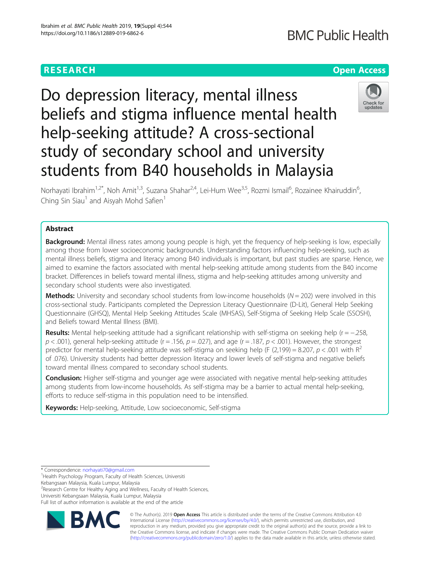## **RESEARCH CHEAR CHEAR CHEAR CHEAR CHEAR CHEAR CHEAR CHEAR CHEAR CHEAR CHEAR CHEAR CHEAR CHEAR CHEAR CHEAR CHEAR**

# **BMC Public Health**



Do depression literacy, mental illness beliefs and stigma influence mental health help-seeking attitude? A cross-sectional study of secondary school and university students from B40 households in Malaysia

Norhayati Ibrahim<sup>1,2\*</sup>, Noh Amit<sup>1,3</sup>, Suzana Shahar<sup>2,4</sup>, Lei-Hum Wee<sup>3,5</sup>, Rozmi Ismail<sup>6</sup>, Rozainee Khairuddin<sup>6</sup> , Ching Sin Siau<sup>1</sup> and Aisyah Mohd Safien<sup>1</sup>

### Abstract

**Background:** Mental illness rates among young people is high, yet the frequency of help-seeking is low, especially among those from lower socioeconomic backgrounds. Understanding factors influencing help-seeking, such as mental illness beliefs, stigma and literacy among B40 individuals is important, but past studies are sparse. Hence, we aimed to examine the factors associated with mental help-seeking attitude among students from the B40 income bracket. Differences in beliefs toward mental illness, stigma and help-seeking attitudes among university and secondary school students were also investigated.

**Methods:** University and secondary school students from low-income households ( $N = 202$ ) were involved in this cross-sectional study. Participants completed the Depression Literacy Questionnaire (D-Lit), General Help Seeking Questionnaire (GHSQ), Mental Help Seeking Attitudes Scale (MHSAS), Self-Stigma of Seeking Help Scale (SSOSH), and Beliefs toward Mental Illness (BMI).

**Results:** Mental help-seeking attitude had a significant relationship with self-stigma on seeking help ( $r = -.258$ ,  $p < .001$ ), general help-seeking attitude (r = .156,  $p = .027$ ), and age (r = .187,  $p < .001$ ). However, the strongest predictor for mental help-seeking attitude was self-stigma on seeking help (F (2,199) = 8.207, p < .001 with R<sup>2</sup> of .076). University students had better depression literacy and lower levels of self-stigma and negative beliefs toward mental illness compared to secondary school students.

Conclusion: Higher self-stigma and younger age were associated with negative mental help-seeking attitudes among students from low-income households. As self-stigma may be a barrier to actual mental help-seeking, efforts to reduce self-stigma in this population need to be intensified.

Keywords: Help-seeking, Attitude, Low socioeconomic, Self-stigma

<sup>2</sup> Research Centre for Healthy Aging and Wellness, Faculty of Health Sciences, Universiti Kebangsaan Malaysia, Kuala Lumpur, Malaysia

Full list of author information is available at the end of the article



© The Author(s). 2019 **Open Access** This article is distributed under the terms of the Creative Commons Attribution 4.0 International License [\(http://creativecommons.org/licenses/by/4.0/](http://creativecommons.org/licenses/by/4.0/)), which permits unrestricted use, distribution, and reproduction in any medium, provided you give appropriate credit to the original author(s) and the source, provide a link to the Creative Commons license, and indicate if changes were made. The Creative Commons Public Domain Dedication waiver [\(http://creativecommons.org/publicdomain/zero/1.0/](http://creativecommons.org/publicdomain/zero/1.0/)) applies to the data made available in this article, unless otherwise stated.

<sup>\*</sup> Correspondence: [norhayati70@gmail.com](mailto:norhayati70@gmail.com) <sup>1</sup>

Health Psychology Program, Faculty of Health Sciences, Universiti Kebangsaan Malaysia, Kuala Lumpur, Malaysia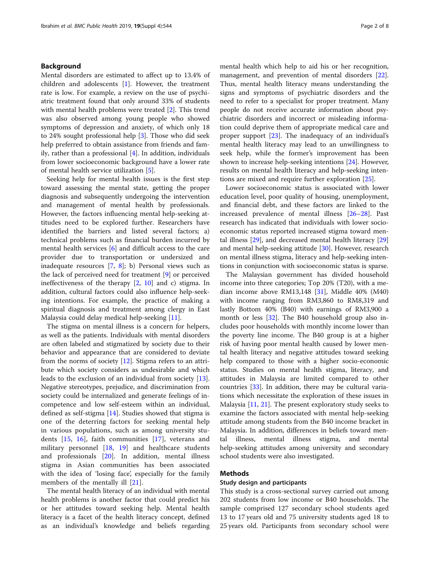#### Background

Mental disorders are estimated to affect up to 13.4% of children and adolescents [\[1](#page-6-0)]. However, the treatment rate is low. For example, a review on the use of psychiatric treatment found that only around 33% of students with mental health problems were treated [\[2](#page-6-0)]. This trend was also observed among young people who showed symptoms of depression and anxiety, of which only 18 to 24% sought professional help [[3\]](#page-6-0). Those who did seek help preferred to obtain assistance from friends and family, rather than a professional [[4\]](#page-6-0). In addition, individuals from lower socioeconomic background have a lower rate of mental health service utilization [\[5\]](#page-6-0).

Seeking help for mental health issues is the first step toward assessing the mental state, getting the proper diagnosis and subsequently undergoing the intervention and management of mental health by professionals. However, the factors influencing mental help-seeking attitudes need to be explored further. Researchers have identified the barriers and listed several factors; a) technical problems such as financial burden incurred by mental health services [\[6](#page-6-0)] and difficult access to the care provider due to transportation or undersized and inadequate resources [\[7](#page-6-0), [8](#page-6-0)]; b) Personal views such as the lack of perceived need for treatment [[9\]](#page-6-0) or perceived ineffectiveness of the therapy  $[2, 10]$  $[2, 10]$  $[2, 10]$  $[2, 10]$  and c) stigma. In addition, cultural factors could also influence help-seeking intentions. For example, the practice of making a spiritual diagnosis and treatment among clergy in East Malaysia could delay medical help-seeking [[11](#page-6-0)].

The stigma on mental illness is a concern for helpers, as well as the patients. Individuals with mental disorders are often labeled and stigmatized by society due to their behavior and appearance that are considered to deviate from the norms of society [\[12](#page-6-0)]. Stigma refers to an attribute which society considers as undesirable and which leads to the exclusion of an individual from society [\[13](#page-6-0)]. Negative stereotypes, prejudice, and discrimination from society could be internalized and generate feelings of incompetence and low self-esteem within an individual, defined as self-stigma [\[14\]](#page-6-0). Studies showed that stigma is one of the deterring factors for seeking mental help in various populations, such as among university students [[15](#page-6-0), [16\]](#page-6-0), faith communities [\[17](#page-6-0)], veterans and military personnel [[18,](#page-6-0) [19\]](#page-6-0) and healthcare students and professionals [[20](#page-6-0)]. In addition, mental illness stigma in Asian communities has been associated with the idea of 'losing face', especially for the family members of the mentally ill [[21\]](#page-6-0).

The mental health literacy of an individual with mental health problems is another factor that could predict his or her attitudes toward seeking help. Mental health literacy is a facet of the health literacy concept, defined as an individual's knowledge and beliefs regarding mental health which help to aid his or her recognition, management, and prevention of mental disorders [\[22](#page-6-0)]. Thus, mental health literacy means understanding the signs and symptoms of psychiatric disorders and the need to refer to a specialist for proper treatment. Many people do not receive accurate information about psychiatric disorders and incorrect or misleading information could deprive them of appropriate medical care and proper support [[23\]](#page-6-0). The inadequacy of an individual's mental health literacy may lead to an unwillingness to seek help, while the former's improvement has been shown to increase help-seeking intentions [[24](#page-6-0)]. However, results on mental health literacy and help-seeking intentions are mixed and require further exploration [\[25](#page-6-0)].

Lower socioeconomic status is associated with lower education level, poor quality of housing, unemployment, and financial debt, and these factors are linked to the increased prevalence of mental illness [\[26](#page-6-0)–[28\]](#page-6-0). Past research has indicated that individuals with lower socioeconomic status reported increased stigma toward mental illness [[29](#page-6-0)], and decreased mental health literacy [[29](#page-6-0)] and mental help-seeking attitude [\[30](#page-6-0)]. However, research on mental illness stigma, literacy and help-seeking intentions in conjunction with socioeconomic status is sparse.

The Malaysian government has divided household income into three categories; Top 20% (T20), with a median income above RM13,148 [[31\]](#page-6-0), Middle 40% (M40) with income ranging from RM3,860 to RM8,319 and lastly Bottom 40% (B40) with earnings of RM3,900 a month or less [[32](#page-6-0)]. The B40 household group also includes poor households with monthly income lower than the poverty line income. The B40 group is at a higher risk of having poor mental health caused by lower mental health literacy and negative attitudes toward seeking help compared to those with a higher socio-economic status. Studies on mental health stigma, literacy, and attitudes in Malaysia are limited compared to other countries [[33](#page-6-0)]. In addition, there may be cultural variations which necessitate the exploration of these issues in Malaysia [\[11](#page-6-0), [21](#page-6-0)]. The present exploratory study seeks to examine the factors associated with mental help-seeking attitude among students from the B40 income bracket in Malaysia. In addition, differences in beliefs toward mental illness, mental illness stigma, and mental help-seeking attitudes among university and secondary school students were also investigated.

#### Methods

#### Study design and participants

This study is a cross-sectional survey carried out among 202 students from low income or B40 households. The sample comprised 127 secondary school students aged 13 to 17 years old and 75 university students aged 18 to 25 years old. Participants from secondary school were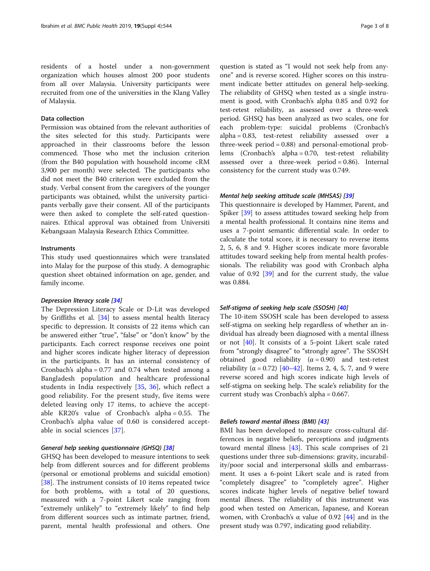#### Data collection

Permission was obtained from the relevant authorities of the sites selected for this study. Participants were approached in their classrooms before the lesson commenced. Those who met the inclusion criterion (from the B40 population with household income <RM 3,900 per month) were selected. The participants who did not meet the B40 criterion were excluded from the study. Verbal consent from the caregivers of the younger participants was obtained, whilst the university participants verbally gave their consent. All of the participants were then asked to complete the self-rated questionnaires. Ethical approval was obtained from Universiti Kebangsaan Malaysia Research Ethics Committee.

#### Instruments

This study used questionnaires which were translated into Malay for the purpose of this study. A demographic question sheet obtained information on age, gender, and family income.

#### Depression literacy scale [[34](#page-6-0)]

The Depression Literacy Scale or D-Lit was developed by Griffiths et al. [[34\]](#page-6-0) to assess mental health literacy specific to depression. It consists of 22 items which can be answered either "true", "false" or "don't know" by the participants. Each correct response receives one point and higher scores indicate higher literacy of depression in the participants. It has an internal consistency of Cronbach's alpha = 0.77 and 0.74 when tested among a Bangladesh population and healthcare professional students in India respectively [\[35](#page-6-0), [36\]](#page-6-0), which reflect a good reliability. For the present study, five items were deleted leaving only 17 items, to achieve the acceptable KR20's value of Cronbach's alpha = 0.55. The Cronbach's alpha value of 0.60 is considered acceptable in social sciences [[37\]](#page-6-0).

#### General help seeking questionnaire (GHSQ) [\[38\]](#page-6-0)

GHSQ has been developed to measure intentions to seek help from different sources and for different problems (personal or emotional problems and suicidal emotion) [[38\]](#page-6-0). The instrument consists of 10 items repeated twice for both problems, with a total of 20 questions, measured with a 7-point Likert scale ranging from "extremely unlikely" to "extremely likely" to find help from different sources such as intimate partner, friend, parent, mental health professional and others. One

question is stated as "I would not seek help from anyone" and is reverse scored. Higher scores on this instrument indicate better attitudes on general help-seeking. The reliability of GHSQ when tested as a single instrument is good, with Cronbach's alpha 0.85 and 0.92 for test-retest reliability, as assessed over a three-week period. GHSQ has been analyzed as two scales, one for each problem-type: suicidal problems (Cronbach's alpha = 0.83, test-retest reliability assessed over a three-week period  $= 0.88$ ) and personal-emotional problems (Cronbach's alpha = 0.70, test-retest reliability assessed over a three-week period  $= 0.86$ ). Internal consistency for the current study was 0.749.

#### Mental help seeking attitude scale (MHSAS) [[39\]](#page-6-0)

This questionnaire is developed by Hammer, Parent, and Spiker [\[39](#page-6-0)] to assess attitudes toward seeking help from a mental health professional. It contains nine items and uses a 7-point semantic differential scale. In order to calculate the total score, it is necessary to reverse items 2, 5, 6, 8 and 9. Higher scores indicate more favorable attitudes toward seeking help from mental health professionals. The reliability was good with Cronbach alpha value of  $0.92$  [ $39$ ] and for the current study, the value was 0.884.

#### Self-stigma of seeking help scale (SSOSH) [\[40\]](#page-7-0)

The 10-item SSOSH scale has been developed to assess self-stigma on seeking help regardless of whether an individual has already been diagnosed with a mental illness or not [[40\]](#page-7-0). It consists of a 5-point Likert scale rated from "strongly disagree" to "strongly agree". The SSOSH obtained good reliability ( $α = 0.90$ ) and test-retest reliability ( $\alpha = 0.72$ ) [[40](#page-7-0)–[42](#page-7-0)]. Items 2, 4, 5, 7, and 9 were reverse scored and high scores indicate high levels of self-stigma on seeking help. The scale's reliability for the current study was Cronbach's alpha = 0.667.

#### Beliefs toward mental illness (BMI) [[43\]](#page-7-0)

BMI has been developed to measure cross-cultural differences in negative beliefs, perceptions and judgments toward mental illness [\[43](#page-7-0)]. This scale comprises of 21 questions under three sub-dimensions: gravity, incurability/poor social and interpersonal skills and embarrassment. It uses a 6-point Likert scale and is rated from "completely disagree" to "completely agree". Higher scores indicate higher levels of negative belief toward mental illness. The reliability of this instrument was good when tested on American, Japanese, and Korean women, with Cronbach's α value of 0.92 [\[44\]](#page-7-0) and in the present study was 0.797, indicating good reliability.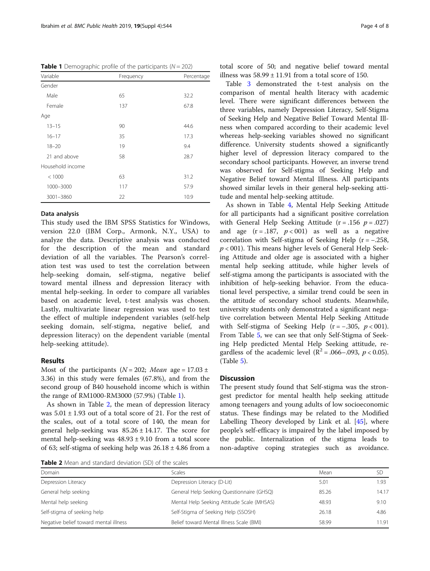**Table 1** Demographic profile of the participants ( $N = 202$ )

| Variable         | Frequency | Percentage |  |  |
|------------------|-----------|------------|--|--|
| Gender           |           |            |  |  |
| Male             | 65        | 32.2       |  |  |
| Female           | 137       | 67.8       |  |  |
| Age              |           |            |  |  |
| $13 - 15$        | 90        | 44.6       |  |  |
| $16 - 17$        | 35        | 17.3       |  |  |
| $18 - 20$        | 19        | 9.4        |  |  |
| 21 and above     | 58        | 28.7       |  |  |
| Household income |           |            |  |  |
| < 1000           | 63        | 31.2       |  |  |
| 1000-3000        | 117       | 57.9       |  |  |
| 3001-3860        | 22        | 10.9       |  |  |

#### Data analysis

This study used the IBM SPSS Statistics for Windows, version 22.0 (IBM Corp., Armonk, N.Y., USA) to analyze the data. Descriptive analysis was conducted for the description of the mean and standard deviation of all the variables. The Pearson's correlation test was used to test the correlation between help-seeking domain, self-stigma, negative belief toward mental illness and depression literacy with mental help-seeking. In order to compare all variables based on academic level, t-test analysis was chosen. Lastly, multivariate linear regression was used to test the effect of multiple independent variables (self-help seeking domain, self-stigma, negative belief, and depression literacy) on the dependent variable (mental help-seeking attitude).

#### Results

Most of the participants ( $N = 202$ ; Mean age = 17.03 ± 3.36) in this study were females (67.8%), and from the second group of B40 household income which is within the range of RM1000-RM3000 (57.9%) (Table 1).

As shown in Table 2, the mean of depression literacy was  $5.01 \pm 1.93$  out of a total score of 21. For the rest of the scales, out of a total score of 140, the mean for general help-seeking was  $85.26 \pm 14.17$ . The score for mental help-seeking was  $48.93 \pm 9.10$  from a total score of 63; self-stigma of seeking help was  $26.18 \pm 4.86$  from a

Table 2 Mean and standard deviation (SD) of the scales

total score of 50; and negative belief toward mental illness was  $58.99 \pm 11.91$  from a total score of 150.

Table [3](#page-4-0) demonstrated the t-test analysis on the comparison of mental health literacy with academic level. There were significant differences between the three variables, namely Depression Literacy, Self-Stigma of Seeking Help and Negative Belief Toward Mental Illness when compared according to their academic level whereas help-seeking variables showed no significant difference. University students showed a significantly higher level of depression literacy compared to the secondary school participants. However, an inverse trend was observed for Self-stigma of Seeking Help and Negative Belief toward Mental Illness. All participants showed similar levels in their general help-seeking attitude and mental help-seeking attitude.

As shown in Table [4,](#page-4-0) Mental Help Seeking Attitude for all participants had a significant positive correlation with General Help Seeking Attitude  $(r = .156 \, p = .027)$ and age  $(r=.187, p < 001)$  as well as a negative correlation with Self-stigma of Seeking Help (r = −.258,  $p < 001$ ). This means higher levels of General Help Seeking Attitude and older age is associated with a higher mental help seeking attitude, while higher levels of self-stigma among the participants is associated with the inhibition of help-seeking behavior. From the educational level perspective, a similar trend could be seen in the attitude of secondary school students. Meanwhile, university students only demonstrated a significant negative correlation between Mental Help Seeking Attitude with Self-stigma of Seeking Help ( $r = -.305$ ,  $p < 001$ ). From Table [5,](#page-5-0) we can see that only Self-Stigma of Seeking Help predicted Mental Help Seeking attitude, regardless of the academic level ( $R^2 = .066 - .093$ ,  $p < 0.05$ ). (Table [5\)](#page-5-0).

#### **Discussion**

The present study found that Self-stigma was the strongest predictor for mental health help seeking attitude among teenagers and young adults of low socioeconomic status. These findings may be related to the Modified Labelling Theory developed by Link et al. [[45\]](#page-7-0), where people's self-efficacy is impaired by the label imposed by the public. Internalization of the stigma leads to non-adaptive coping strategies such as avoidance.

| Domain                                | Scales                                     | Mean  | SD    |  |
|---------------------------------------|--------------------------------------------|-------|-------|--|
| Depression Literacy                   | Depression Literacy (D-Lit)                | 5.01  | 1.93  |  |
| General help seeking                  | General Help Seeking Questionnaire (GHSQ)  | 85.26 | 14.17 |  |
| Mental help seeking                   | Mental Help Seeking Attitude Scale (MHSAS) | 48.93 | 9.10  |  |
| Self-stigma of seeking help           | Self-Stigma of Seeking Help (SSOSH)        | 26.18 | 4.86  |  |
| Negative belief toward mental illness | Belief toward Mental Illness Scale (BMI)   | 58.99 | 11.91 |  |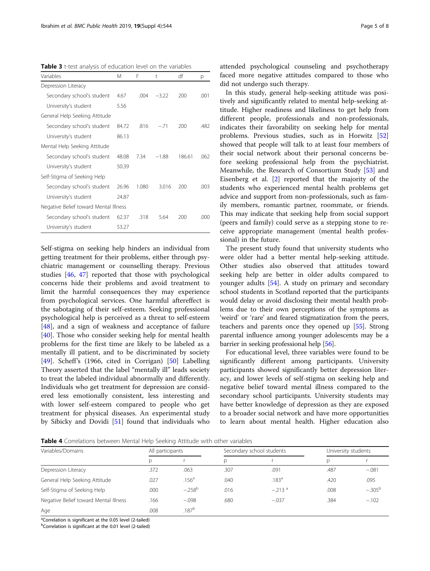<span id="page-4-0"></span>Table 3 t-test analysis of education level on the variables

| Variables                             | M     | F     | t       | df     | р    |  |  |
|---------------------------------------|-------|-------|---------|--------|------|--|--|
| Depression Literacy                   |       |       |         |        |      |  |  |
| Secondary school's student            | 4.67  | .004  | $-3.22$ | 200    | .001 |  |  |
| University's student                  | 5.56  |       |         |        |      |  |  |
| General Help Seeking Attitude         |       |       |         |        |      |  |  |
| Secondary school's student            | 84.72 | .816  | $-.71$  | 200    | .482 |  |  |
| University's student                  | 86.13 |       |         |        |      |  |  |
| Mental Help Seeking Attitude          |       |       |         |        |      |  |  |
| Secondary school's student            | 48.08 | 7.34  | $-1.88$ | 186.61 | .062 |  |  |
| University's student                  | 50.39 |       |         |        |      |  |  |
| Self-Stigma of Seeking Help           |       |       |         |        |      |  |  |
| Secondary school's student            | 26.96 | 1.080 | 3.016   | 200    | .003 |  |  |
| University's student                  | 24.87 |       |         |        |      |  |  |
| Negative Belief toward Mental Illness |       |       |         |        |      |  |  |
| Secondary school's student            | 62.37 | .318  | 5.64    | 200    | .000 |  |  |
| University's student                  | 53.27 |       |         |        |      |  |  |

Self-stigma on seeking help hinders an individual from getting treatment for their problems, either through psychiatric management or counselling therapy. Previous studies [[46,](#page-7-0) [47](#page-7-0)] reported that those with psychological concerns hide their problems and avoid treatment to limit the harmful consequences they may experience from psychological services. One harmful aftereffect is the sabotaging of their self-esteem. Seeking professional psychological help is perceived as a threat to self-esteem [[48\]](#page-7-0), and a sign of weakness and acceptance of failure [[40\]](#page-7-0). Those who consider seeking help for mental health problems for the first time are likely to be labeled as a mentally ill patient, and to be discriminated by society [[49\]](#page-7-0). Scheff's (1966, cited in Corrigan) [[50](#page-7-0)] Labelling Theory asserted that the label "mentally ill" leads society to treat the labeled individual abnormally and differently. Individuals who get treatment for depression are considered less emotionally consistent, less interesting and with lower self-esteem compared to people who get treatment for physical diseases. An experimental study by Sibicky and Dovidi [\[51](#page-7-0)] found that individuals who attended psychological counseling and psychotherapy faced more negative attitudes compared to those who did not undergo such therapy.

In this study, general help-seeking attitude was positively and significantly related to mental help-seeking attitude. Higher readiness and likeliness to get help from different people, professionals and non-professionals, indicates their favorability on seeking help for mental problems. Previous studies, such as in Horwitz [[52](#page-7-0)] showed that people will talk to at least four members of their social network about their personal concerns before seeking professional help from the psychiatrist. Meanwhile, the Research of Consortium Study [[53\]](#page-7-0) and Eisenberg et al. [\[2\]](#page-6-0) reported that the majority of the students who experienced mental health problems get advice and support from non-professionals, such as family members, romantic partner, roommate, or friends. This may indicate that seeking help from social support (peers and family) could serve as a stepping stone to receive appropriate management (mental health professional) in the future.

The present study found that university students who were older had a better mental help-seeking attitude. Other studies also observed that attitudes toward seeking help are better in older adults compared to younger adults [\[54\]](#page-7-0). A study on primary and secondary school students in Scotland reported that the participants would delay or avoid disclosing their mental health problems due to their own perceptions of the symptoms as 'weird' or 'rare' and feared stigmatization from the peers, teachers and parents once they opened up [[55](#page-7-0)]. Strong parental influence among younger adolescents may be a barrier in seeking professional help [\[56\]](#page-7-0).

For educational level, three variables were found to be significantly different among participants. University participants showed significantly better depression literacy, and lower levels of self-stigma on seeking help and negative belief toward mental illness compared to the secondary school participants. University students may have better knowledge of depression as they are exposed to a broader social network and have more opportunities to learn about mental health. Higher education also

Table 4 Correlations between Mental Help Seeking Attitude with other variables

| Variables/Domains                     |      | All participants |      | Secondary school students | University students |           |
|---------------------------------------|------|------------------|------|---------------------------|---------------------|-----------|
|                                       | D    |                  | p    |                           |                     |           |
| Depression Literacy                   | .372 | .063             | .307 | .091                      | .487                | $-.081$   |
| General Help Seeking Attitude         | .027 | $.156^{\rm a}$   | .040 | .183 <sup>a</sup>         | .420                | .095      |
| Self-Stigma of Seeking Help           | .000 | $-258^{\rm b}$   | .016 | $-213$ <sup>a</sup>       | .008                | $-.305^b$ |
| Negative Belief toward Mental Illness | .166 | $-.098$          | .680 | $-.037$                   | .384                | $-.102$   |
| Age                                   | .008 | $.187^b$         |      |                           |                     |           |

<sup>a</sup>Correlation is significant at the 0.05 level (2-tailed)

b Correlation is significant at the 0.01 level (2-tailed)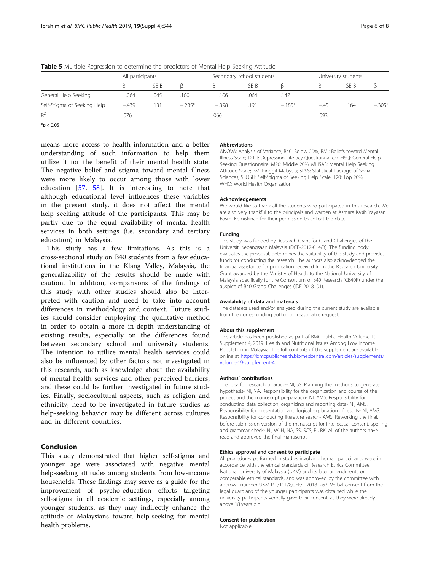|                             | All participants |      |         | Secondary school students |      |          | University students |                 |         |
|-----------------------------|------------------|------|---------|---------------------------|------|----------|---------------------|-----------------|---------|
|                             |                  | SE B |         |                           | SE B |          |                     | SE <sub>B</sub> |         |
| General Help Seeking        | .064             | .045 | .100    | .106                      | .064 | .147     |                     |                 |         |
| Self-Stigma of Seeking Help | $-.439$          | .131 | $-235*$ | $-.398$                   | .191 | $-.185*$ | $-.45$              | 164             | $-305*$ |
| $R^2$                       | .076             |      |         | .066                      |      |          | .093                |                 |         |
|                             |                  |      |         |                           |      |          |                     |                 |         |

<span id="page-5-0"></span>Table 5 Multiple Regression to determine the predictors of Mental Help Seeking Attitude

 $*$ *p* < 0.05

means more access to health information and a better understanding of such information to help them utilize it for the benefit of their mental health state. The negative belief and stigma toward mental illness were more likely to occur among those with lower education [\[57](#page-7-0), [58](#page-7-0)]. It is interesting to note that although educational level influences these variables in the present study, it does not affect the mental help seeking attitude of the participants. This may be partly due to the equal availability of mental health services in both settings (i.e. secondary and tertiary education) in Malaysia.

This study has a few limitations. As this is a cross-sectional study on B40 students from a few educational institutions in the Klang Valley, Malaysia, the generalizability of the results should be made with caution. In addition, comparisons of the findings of this study with other studies should also be interpreted with caution and need to take into account differences in methodology and context. Future studies should consider employing the qualitative method in order to obtain a more in-depth understanding of existing results, especially on the differences found between secondary school and university students. The intention to utilize mental health services could also be influenced by other factors not investigated in this research, such as knowledge about the availability of mental health services and other perceived barriers, and these could be further investigated in future studies. Finally, sociocultural aspects, such as religion and ethnicity, need to be investigated in future studies as help-seeking behavior may be different across cultures and in different countries.

#### Conclusion

This study demonstrated that higher self-stigma and younger age were associated with negative mental help-seeking attitudes among students from low-income households. These findings may serve as a guide for the improvement of psycho-education efforts targeting self-stigma in all academic settings, especially among younger students, as they may indirectly enhance the attitude of Malaysians toward help-seeking for mental health problems.

#### Abbreviations

ANOVA: Analysis of Variance; B40: Below 20%; BMI: Beliefs toward Mental Illness Scale; D-Lit: Depression Literacy Questionnaire; GHSQ: General Help Seeking Questionnaire; M20: Middle 20%; MHSAS: Mental Help Seeking Attitude Scale; RM: Ringgit Malaysia; SPSS: Statistical Package of Social Sciences; SSOSH: Self-Stigma of Seeking Help Scale; T20: Top 20%; WHO: World Health Organization

#### Acknowledgements

We would like to thank all the students who participated in this research. We are also very thankful to the principals and warden at Asmara Kasih Yayasan Basmi Kemiskinan for their permission to collect the data.

#### Funding

This study was funded by Research Grant for Grand Challenges of the Universiti Kebangsaan Malaysia (DCP-2017-014/3). The funding body evaluates the proposal, determines the suitability of the study and provides funds for conducting the research. The authors also acknowledged the financial assistance for publication received from the Research University Grant awarded by the Ministry of Health to the National University of Malaysia specifically for the Consortium of B40 Research (CB40R) under the auspice of B40 Grand Challenges (IDE 2018–01).

#### Availability of data and materials

The datasets used and/or analysed during the current study are available from the corresponding author on reasonable request.

#### About this supplement

This article has been published as part of BMC Public Health Volume 19 Supplement 4, 2019: Health and Nutritional Issues Among Low Income Population in Malaysia. The full contents of the supplement are available online at [https://bmcpublichealth.biomedcentral.com/articles/supplements/](https://bmcpublichealth.biomedcentral.com/articles/supplements/volume-19-supplement-4) [volume-19-supplement-4.](https://bmcpublichealth.biomedcentral.com/articles/supplements/volume-19-supplement-4)

#### Authors' contributions

The idea for research or article- NI, SS. Planning the methods to generate hypothesis- NI, NA. Responsibility for the organization and course of the project and the manuscript preparation- NI, AMS. Responsibility for conducting data collection, organizing and reporting data- NI, AMS. Responsibility for presentation and logical explanation of results- NI, AMS. Responsibility for conducting literature search- AMS. Reworking the final, before submission version of the manuscript for intellectual content, spelling and grammar check- NI, WLH, NA, SS, SCS, RI, RK. All of the authors have read and approved the final manuscript.

#### Ethics approval and consent to participate

All procedures performed in studies involving human participants were in accordance with the ethical standards of Research Ethics Committee, National University of Malaysia (UKM) and its later amendments or comparable ethical standards, and was approved by the committee with approval number UKM PPI/111/8/JEP/− 2018–267. Verbal consent from the legal guardians of the younger participants was obtained while the university participants verbally gave their consent, as they were already above 18 years old.

#### Consent for publication

Not applicable.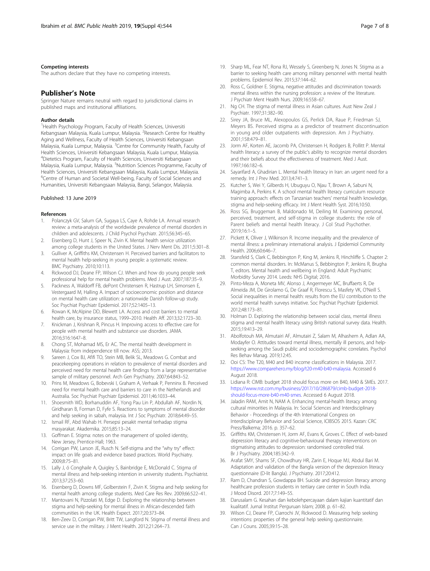#### <span id="page-6-0"></span>Competing interests

The authors declare that they have no competing interests.

#### Publisher's Note

Springer Nature remains neutral with regard to jurisdictional claims in published maps and institutional affiliations.

#### Author details

<sup>1</sup>Health Psychology Program, Faculty of Health Sciences, Universiti Kebangsaan Malaysia, Kuala Lumpur, Malaysia. <sup>2</sup>Research Centre for Healthy Aging and Wellness, Faculty of Health Sciences, Universiti Kebangsaan Malaysia, Kuala Lumpur, Malaysia. <sup>3</sup>Centre for Community Health, Faculty of Health Sciences, Universiti Kebangsaan Malaysia, Kuala Lumpur, Malaysia. 4 Dietetics Program, Faculty of Health Sciences, Universiti Kebangsaan Malaysia, Kuala Lumpur, Malaysia. <sup>5</sup>Nutrition Sciences Programme, Faculty of Health Sciences, Universiti Kebangsaan Malaysia, Kuala Lumpur, Malaysia. <sup>6</sup>Centre of Human and Societal Well-being, Faculty of Social Sciences and Humanities, Universiti Kebangsaan Malaysia, Bangi, Selangor, Malaysia.

#### Published: 13 June 2019

#### References

- 1. Polanczyk GV, Salum GA, Sugaya LS, Caye A, Rohde LA. Annual research review: a meta-analysis of the worldwide prevalence of mental disorders in children and adolescents. J Child Psychol Psychiatr. 2015;56:345–65.
- 2. Eisenberg D, Hunt J, Speer N, Zivin K. Mental health service utilization among college students in the United States. J Nerv Ment Dis. 2011;5:301–8.
- 3. Gulliver A, Griffiths KM, Christensen H. Perceived barriers and facilitators to mental health help-seeking in young people: a systematic review. BMC Psychiatry. 2010;10:113.
- 4. Rickwood DJ, Deane FP, Wilson CJ. When and how do young people seek professional help for mental health problems. Med J Aust. 2007;187:35–9.
- Packness A, Waldorff FB, dePont Christensen R, Hastrup LH, Simonsen E, Vestergaard M, Halling A. Impact of socioeconomic position and distance on mental health care utilization: a nationwide Danish follow-up study. Soc Psychiat Psychiatr Epidemiol. 2017;52:1405–13.
- 6. Rowan K, McAlpine DD, Blewett LA. Access and cost barriers to mental health care, by insurance status, 1999–2010. Health Aff. 2013;32:1723–30.
- 7. Knickman J, Krishnan R, Pincus H. Improving access to effective care for people with mental health and substance use disorders. JAMA. 2016;316:1647–8.
- 8. Chong ST, Mohamad MS, Er AC. The mental health development in Malaysia: from independence till now. ASS; 2013.
- 9. Sareen J, Cox BJ, Afifi TO, Stein MB, Belik SL, Meadows G. Combat and peacekeeping operations in relation to prevalence of mental disorders and perceived need for mental health care findings from a large representative sample of military personnel. Arch Gen Psychiatry. 2007;64:843–52.
- 10. Prins M, Meadows G, Bobevski I, Graham A, Verhaak P, Penninx B. Perceived need for mental health care and barriers to care in the Netherlands and Australia. Soc Psychiat Psychiatr Epidemiol. 2011;46:1033–44.
- 11. Shoesmith WD, Borhanuddin AF, Yong Pau Lin P, Abdullah AF, Nordin N, Giridharan B, Forman D, Fyfe S. Reactions to symptoms of mental disorder and help seeking in sabah, malaysia. Int J Soc Psychiatr. 2018;64:49–55.
- 12. Ismail RF, Abd Wahab H. Persepsi pesakit mental terhadap stigma masyarakat. Akademika. 2015;85:13–24.
- 13. Goffman E. Stigma: notes on the management of spoiled identity, New Jersey, Prentice-Hall; 1963.
- 14. Corrigan PW, Larson JE, Rusch N. Self-stigma and the "why try" effect: impact on life goals and evidence based practices. World Psychiatry. 2009;8:75–81.
- 15. Lally J, ó Conghaile A, Quigley S, Bainbridge E, McDonald C. Stigma of mental illness and help-seeking intention in university students. Psychiatrist. 2013;37:253–60.
- 16. Eisenberg D, Downs MF, Golberstein F, Zivin K. Stigma and help seeking for mental health among college students. Med Care Res Rev. 2009;66:522–41.
- 17. Mantovani N, Pizzolati M, Edge D. Exploring the relationship between stigma and help-seeking for mental illness in African-descended faith communities in the UK. Health Expect. 2017;20:373–84.
- 18. Ben-Zeev D, Corrigan PW, Britt TW, Langford N. Stigma of mental illness and service use in the military. J Ment Health. 2012;21:264–73.
- 19. Sharp ML, Fear NT, Rona RJ, Wessely S, Greenberg N, Jones N. Stigma as a barrier to seeking health care among military personnel with mental health problems. Epidemiol Rev. 2015;37:144–62.
- 20. Ross C, Goldner E. Stigma, negative attitudes and discrimination towards mental illness within the nursing profession: a review of the literature. J Psychiatr Ment Health Nurs. 2009;16:558–67.
- 21. Ng CH. The stigma of mental illness in Asian cultures. Aust New Zeal J Psychiatr. 1997;31:382–90.
- 22. Sirey JA, Bruce ML, Alexopoulos GS, Perlick DA, Raue P, Friedman SJ, Meyers BS. Perceived stigma as a predictor of treatment discontinuation in young and older outpatients with depression. Am J Psychiatry. 2001;158:479–81.
- 23. Jorm AF, Korten AE, Jacomb PA, Christensen H, Rodgers B, Pollitt P. Mental health literacy: a survey of the public's ability to recognize mental disorders and their beliefs about the effectiveness of treatment. Med J Aust. 1997;166:182–6.
- 24. Sayarifard A, Ghadirian L. Mental health literacy in Iran: an urgent need for a remedy. Int J Prev Med. 2013;4:741–3.
- 25. Kutcher S, Wei Y, Gilberds H, Ubuguyu O, Njau T, Brown A, Sabuni N, Magimba A, Perkins K. A school mental health literacy curriculum resource training approach: effects on Tanzanian teachers' mental health knowledge, stigma and help-seeking efficacy. Int J Ment Health Syst. 2016;10:50.
- 26. Ross SG, Bruggeman B, Maldonado M, Deiling M. Examining personal, perceived, treatment, and self-stigma in college students: the role of Parent beliefs and mental health literacy. J Col Stud Psychother. 2019;16:1–5.
- 27. Pickett K, Oliver J, Wilkinson R, Income inequality and the prevalence of mental illness: a preliminary international analysis. J Epidemiol Community Health. 2006;60:646–7.
- 28. Stansfeld S, Clark C, Bebbington P, King M, Jenkins R, Hinchliffe S. Chapter 2: common mental disorders. In: McManus S, Bebbington P, Jenkins R, Brugha T, editors. Mental health and wellbeing in England: Adult Psychiatric Morbidity Survey 2014. Leeds: NHS Digital; 2016.
- 29. Pinto-Meza A, Moneta MV, Alonso J, Angermeyer MC, Bruffaerts R, De Almeida JM, De Girolamo G, De Graaf R, Florescu S, Masfety VK, O'Neill S. Social inequalities in mental health: results from the EU contribution to the world mental health surveys initiative. Soc Psychiat Psychiatr Epidemiol. 2012;48:173–81.
- 30. Holman D. Exploring the relationship between social class, mental illness stigma and mental health literacy using British national survey data. Health. 2015;19:413–29.
- 31. Abolfotouh MA, Almutairi AF, Almutairi Z, Salam M, Alhashem A, Adlan AA, Modayfer O. Attitudes toward mental illness, mentally ill persons, and helpseeking among the Saudi public and sociodemographic correlates. Psychol Res Behav Manag. 2019;12:45.
- 32. Ooi CS: The T20, M40 and B40 income classifications in Malaysia. 2017. [https://www.comparehero.my/blog/t20-m40-b40-malaysia.](https://www.comparehero.my/blog/t20-m40-b40-malaysia) Accessed 6 August 2018.
- 33. Lidiana R: CIMB: budget 2018 should focus more on B40, M40 & SMEs. 2017. [https://www.nst.com.my/business/2017/10/286879/cimb-budget-2018](https://www.nst.com.my/business/2017/10/286879/cimb-budget-2018-should-focus-more-b40-m40-smes) [should-focus-more-b40-m40-smes](https://www.nst.com.my/business/2017/10/286879/cimb-budget-2018-should-focus-more-b40-m40-smes). Accessed 6 August 2018.
- 34. Jaladin RAM, Amit N, NAM A. Enhancing mental-health literacy among cultural minorities in Malaysia. In: Social Sciences and Interdisciplinary Behavior - Proceedings of the 4th International Congress on Interdisciplinary Behavior and Social Science, ICIBSOS 2015. Kazan: CRC Press/Balkema; 2016. p. 357–62.
- 35. Griffiths KM, Christensen H, Jorm AF, Evans K, Groves C. Effect of web-based depression literacy and cognitive-behavioural therapy interventions on stigmatising attitudes to depression: randomised controlled trial. Br J Psychiatry. 2004;185:342–9.
- 36. Arafat SMY, Shams SF, Chowdhury HR, Zarin E, Hoque MJ, Abdul Bari M. Adaptation and validation of the Bangla version of the depression literacy questionnaire (D-lit Bangla). J Psychiatry. 2017;20:412.
- 37. Ram D, Chandran S, Gowdappa BH. Suicide and depression literacy among healthcare profession students in tertiary care center in South India. J Mood Disord. 2017;7:149–55.
- 38. Darusalam G. Kesahan dan kebolehpercayaan dalam kajian kuantitatif dan kualitatif. Jurnal Institut Perguruan Islam; 2008. p. 61–82.
- 39. Wilson CJ, Deane FP, Ciarrochi JV, Rickwood D. Measuring help seeking intentions: properties of the general help seeking questionnaire. Can J Couns. 2005;39:15–28.